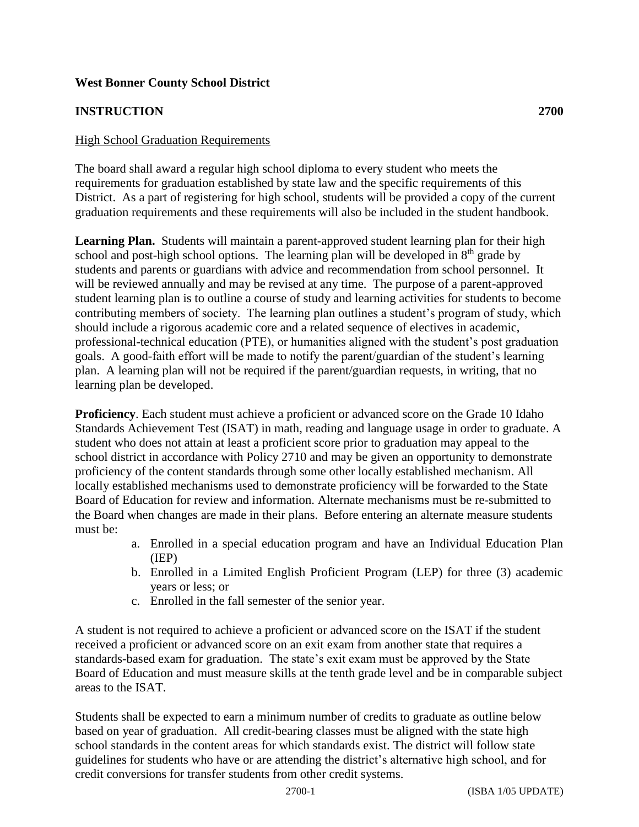# **West Bonner County School District**

# **INSTRUCTION 2700**

## **High School Graduation Requirements**

The board shall award a regular high school diploma to every student who meets the requirements for graduation established by state law and the specific requirements of this District. As a part of registering for high school, students will be provided a copy of the current graduation requirements and these requirements will also be included in the student handbook.

**Learning Plan.** Students will maintain a parent-approved student learning plan for their high school and post-high school options. The learning plan will be developed in  $8<sup>th</sup>$  grade by students and parents or guardians with advice and recommendation from school personnel. It will be reviewed annually and may be revised at any time. The purpose of a parent-approved student learning plan is to outline a course of study and learning activities for students to become contributing members of society. The learning plan outlines a student's program of study, which should include a rigorous academic core and a related sequence of electives in academic, professional-technical education (PTE), or humanities aligned with the student's post graduation goals. A good-faith effort will be made to notify the parent/guardian of the student's learning plan. A learning plan will not be required if the parent/guardian requests, in writing, that no learning plan be developed.

**Proficiency**. Each student must achieve a proficient or advanced score on the Grade 10 Idaho Standards Achievement Test (ISAT) in math, reading and language usage in order to graduate. A student who does not attain at least a proficient score prior to graduation may appeal to the school district in accordance with Policy 2710 and may be given an opportunity to demonstrate proficiency of the content standards through some other locally established mechanism. All locally established mechanisms used to demonstrate proficiency will be forwarded to the State Board of Education for review and information. Alternate mechanisms must be re-submitted to the Board when changes are made in their plans. Before entering an alternate measure students must be:

- a. Enrolled in a special education program and have an Individual Education Plan (IEP)
- b. Enrolled in a Limited English Proficient Program (LEP) for three (3) academic years or less; or
- c. Enrolled in the fall semester of the senior year.

A student is not required to achieve a proficient or advanced score on the ISAT if the student received a proficient or advanced score on an exit exam from another state that requires a standards-based exam for graduation. The state's exit exam must be approved by the State Board of Education and must measure skills at the tenth grade level and be in comparable subject areas to the ISAT.

Students shall be expected to earn a minimum number of credits to graduate as outline below based on year of graduation. All credit-bearing classes must be aligned with the state high school standards in the content areas for which standards exist. The district will follow state guidelines for students who have or are attending the district's alternative high school, and for credit conversions for transfer students from other credit systems.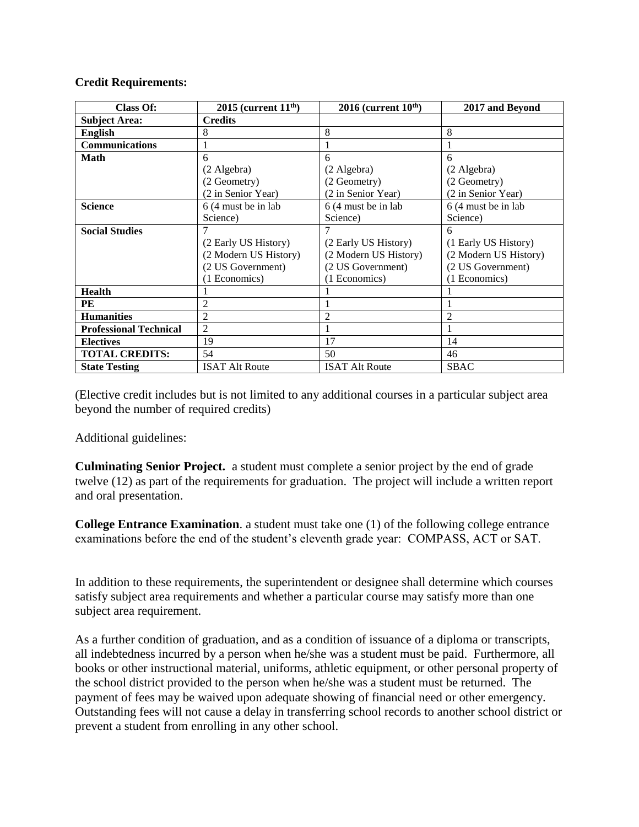#### **Credit Requirements:**

| <b>Class Of:</b>              | $2015$ (current $11th$ ) | $2016$ (current $10th$ ) | 2017 and Beyond       |
|-------------------------------|--------------------------|--------------------------|-----------------------|
| <b>Subject Area:</b>          | <b>Credits</b>           |                          |                       |
| <b>English</b>                | 8                        | 8                        | 8                     |
| <b>Communications</b>         |                          |                          |                       |
| <b>Math</b>                   | 6                        | 6                        | 6                     |
|                               | (2 Algebra)              | (2 Algebra)              | (2 Algebra)           |
|                               | (2 Geometry)             | (2 Geometry)             | (2 Geometry)          |
|                               | (2 in Senior Year)       | (2 in Senior Year)       | (2 in Senior Year)    |
| <b>Science</b>                | 6 (4 must be in lab)     | 6 (4 must be in lab)     | 6 (4 must be in lab)  |
|                               | Science)                 | Science)                 | Science)              |
| <b>Social Studies</b>         |                          |                          | 6                     |
|                               | (2 Early US History)     | (2 Early US History)     | (1 Early US History)  |
|                               | (2 Modern US History)    | (2 Modern US History)    | (2 Modern US History) |
|                               | (2 US Government)        | (2 US Government)        | (2 US Government)     |
|                               | (1 Economics)            | (1 Economics)            | (1 Economics)         |
| <b>Health</b>                 |                          |                          |                       |
| PЕ                            | 2                        |                          |                       |
| <b>Humanities</b>             | $\overline{2}$           | 2                        | $\overline{2}$        |
| <b>Professional Technical</b> | $\overline{2}$           |                          |                       |
| <b>Electives</b>              | 19                       | 17                       | 14                    |
| <b>TOTAL CREDITS:</b>         | 54                       | 50                       | 46                    |
| <b>State Testing</b>          | <b>ISAT Alt Route</b>    | <b>ISAT Alt Route</b>    | <b>SBAC</b>           |

(Elective credit includes but is not limited to any additional courses in a particular subject area beyond the number of required credits)

Additional guidelines:

**Culminating Senior Project.** a student must complete a senior project by the end of grade twelve (12) as part of the requirements for graduation. The project will include a written report and oral presentation.

**College Entrance Examination**. a student must take one (1) of the following college entrance examinations before the end of the student's eleventh grade year: COMPASS, ACT or SAT.

In addition to these requirements, the superintendent or designee shall determine which courses satisfy subject area requirements and whether a particular course may satisfy more than one subject area requirement.

As a further condition of graduation, and as a condition of issuance of a diploma or transcripts, all indebtedness incurred by a person when he/she was a student must be paid. Furthermore, all books or other instructional material, uniforms, athletic equipment, or other personal property of the school district provided to the person when he/she was a student must be returned. The payment of fees may be waived upon adequate showing of financial need or other emergency. Outstanding fees will not cause a delay in transferring school records to another school district or prevent a student from enrolling in any other school.